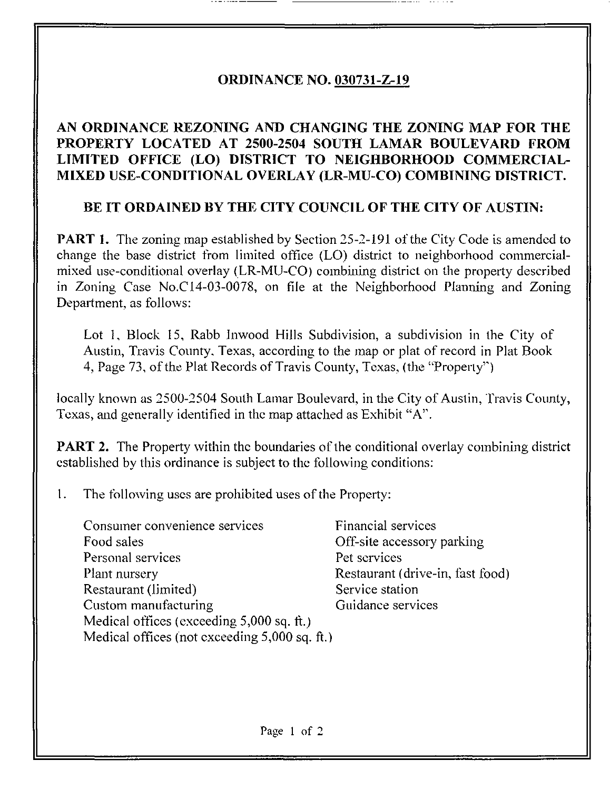## ORDINANCE NO. 030731-Z-19

## AN ORDINANCE REZONING AND CHANGING THE ZONING MAP FOR THE PROPERTY LOCATED AT 2500-2504 SOUTH LAMAR BOULEVARD FROM LIMITED OFFICE (LO) DISTRICT TO NEIGHBORHOOD COMMERCIAL-MIXED USE-CONDITIONAL OVERLAY (LR-MU-CO) COMBINING DISTRICT.

## BE IT ORDAINED BY THE CITY COUNCIL OF THE CITY OF AUSTIN:

PART 1. The zoning map established by Section 25-2-191 of the City Code is amended to change the base district from limited office (LO) district to neighborhood commercialmixed use-conditional overlay (LR-MU-CO) combining district on the property described in Zoning Case No.C14-03-0078, on file at the Neighborhood Planning and Zoning Department, as follows:

Lot 1, Block 15, Rabb Inwood Hills Subdivision, a subdivision in the City of Austin, Travis County. Texas, according to the map or plat of record in Plat Book 4, Page 73, of the Plat Records of Travis County, Texas, (the "Properly'\*)

locally known as 2500-2504 South Lamar Boulevard, in the City of Austin, Travis County, Texas, and generally identified in the map attached as Exhibit "A".

**PART 2.** The Property within the boundaries of the conditional overlay combining district established by this ordinance is subject to the following conditions:

1. The following uses are prohibited uses of the Property:

| Consumer convenience services                 | Financial services               |
|-----------------------------------------------|----------------------------------|
| Food sales                                    | Off-site accessory parking       |
| Personal services                             | Pet services                     |
| Plant nursery                                 | Restaurant (drive-in, fast food) |
| Restaurant (limited)                          | Service station                  |
| Custom manufacturing                          | Guidance services                |
| Medical offices (exceeding 5,000 sq. ft.)     |                                  |
| Medical offices (not exceeding 5,000 sq. ft.) |                                  |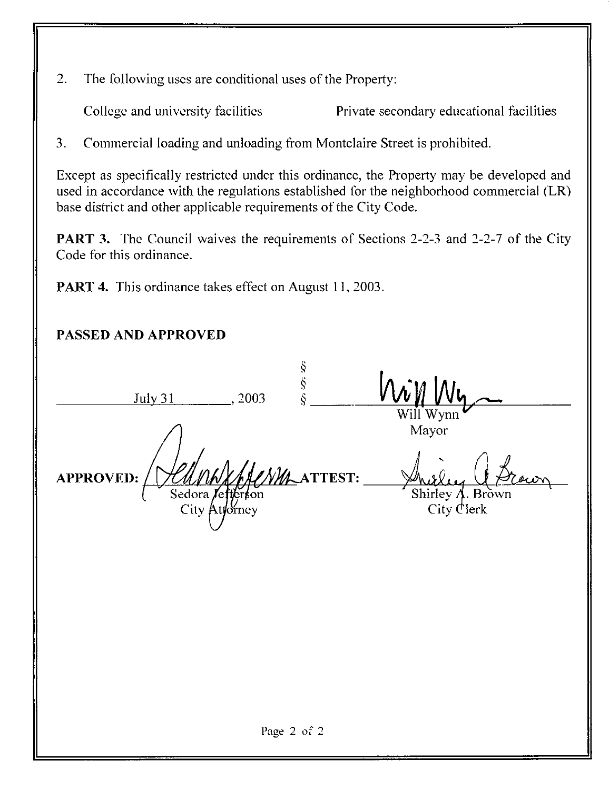2. The following uses are conditional uses of the Property:

College and university facilities Private secondary educational facilities

3. Commercial loading and unloading from Montclaire Street is prohibited.

Except as specifically restricted under this ordinance, the Property may be developed and used in accordance with the regulations established for the neighborhood commercial (LR) base district and other applicable requirements of the City Code.

PART 3. The Council waives the requirements of Sections 2-2-3 and 2-2-7 of the City Code for this ordinance.

PART 4. This ordinance takes effect on August 11, 2003.

## PASSED AND APPROVED

| S<br>S<br>S<br>S<br><b>July 31</b><br>, 2003                            |                                                                      |
|-------------------------------------------------------------------------|----------------------------------------------------------------------|
| TTEST:<br><b>APPROVED:</b><br>Sedora <i>Veffertion</i><br>City Attorney | Will Wynn<br>Mayor<br>owr<br>Shirley $\Lambda$ . Brown<br>City Clerk |
|                                                                         |                                                                      |
|                                                                         |                                                                      |
| Page 2 of 2                                                             |                                                                      |